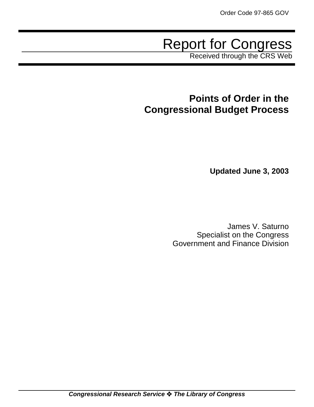# Report for Congress

Received through the CRS Web

## **Points of Order in the Congressional Budget Process**

**Updated June 3, 2003**

James V. Saturno Specialist on the Congress Government and Finance Division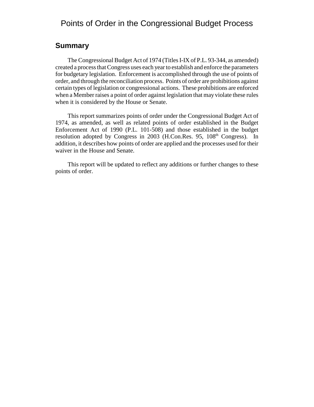## Points of Order in the Congressional Budget Process

### **Summary**

The Congressional Budget Act of 1974 (Titles I-IX of P.L. 93-344, as amended) created a process that Congress uses each year to establish and enforce the parameters for budgetary legislation. Enforcement is accomplished through the use of points of order, and through the reconciliation process. Points of order are prohibitions against certain types of legislation or congressional actions. These prohibitions are enforced when a Member raises a point of order against legislation that may violate these rules when it is considered by the House or Senate.

This report summarizes points of order under the Congressional Budget Act of 1974, as amended, as well as related points of order established in the Budget Enforcement Act of 1990 (P.L. 101-508) and those established in the budget resolution adopted by Congress in 2003 (H.Con.Res. 95, 108<sup>th</sup> Congress). In addition, it describes how points of order are applied and the processes used for their waiver in the House and Senate.

This report will be updated to reflect any additions or further changes to these points of order.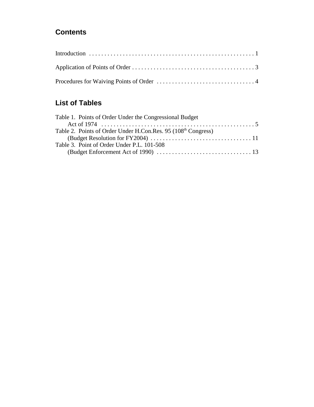## **Contents**

## **List of Tables**

| Table 1. Points of Order Under the Congressional Budget                   |  |
|---------------------------------------------------------------------------|--|
|                                                                           |  |
| Table 2. Points of Order Under H.Con.Res. 95 (108 <sup>th</sup> Congress) |  |
|                                                                           |  |
| Table 3. Point of Order Under P.L. 101-508                                |  |
|                                                                           |  |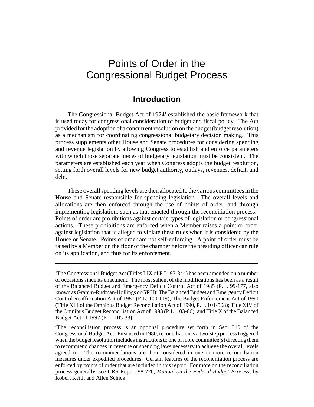## Points of Order in the Congressional Budget Process

## **Introduction**

The Congressional Budget Act of  $1974<sup>1</sup>$  established the basic framework that is used today for congressional consideration of budget and fiscal policy. The Act provided for the adoption of a concurrent resolution on the budget (budget resolution) as a mechanism for coordinating congressional budgetary decision making. This process supplements other House and Senate procedures for considering spending and revenue legislation by allowing Congress to establish and enforce parameters with which those separate pieces of budgetary legislation must be consistent. The parameters are established each year when Congress adopts the budget resolution, setting forth overall levels for new budget authority, outlays, revenues, deficit, and debt.

These overall spending levels are then allocated to the various committees in the House and Senate responsible for spending legislation. The overall levels and allocations are then enforced through the use of points of order, and through implementing legislation, such as that enacted through the reconciliation process.2 Points of order are prohibitions against certain types of legislation or congressional actions. These prohibitions are enforced when a Member raises a point or order against legislation that is alleged to violate these rules when it is considered by the House or Senate. Points of order are not self-enforcing. A point of order must be raised by a Member on the floor of the chamber before the presiding officer can rule on its application, and thus for its enforcement.

<sup>&</sup>lt;sup>1</sup>The Congressional Budget Act (Titles I-IX of P.L. 93-344) has been amended on a number of occasions since its enactment. The most salient of the modifications has been as a result of the Balanced Budget and Emergency Deficit Control Act of 1985 (P.L. 99-177, also known as Gramm-Rudman-Hollings or GRH); The Balanced Budget and Emergency Deficit Control Reaffirmation Act of 1987 (P.L. 100-119); The Budget Enforcement Act of 1990 (Title XIII of the Omnibus Budget Reconciliation Act of 1990, P.L. 101-508); Title XIV of the Omnibus Budget Reconciliation Act of 1993 (P.L. 103-66); and Title X of the Balanced Budget Act of 1997 (P.L. 105-33).

<sup>&</sup>lt;sup>2</sup>The reconciliation process is an optional procedure set forth in Sec. 310 of the Congressional Budget Act. First used in 1980, reconciliation is a two-step process triggered when the budget resolution includes instructions to one or more committee(s) directing them to recommend changes in revenue or spending laws necessary to achieve the overall levels agreed to. The recommendations are then considered in one or more reconciliation measures under expedited procedures. Certain features of the reconciliation process are enforced by points of order that are included in this report. For more on the reconciliation process generally, see CRS Report 98-720, *Manual on the Federal Budget Process*, by Robert Keith and Allen Schick.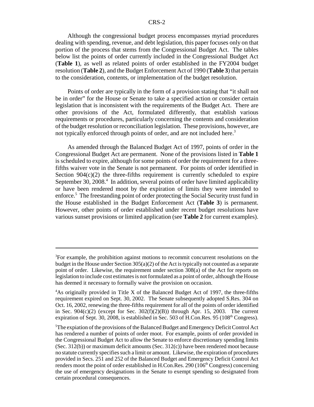Although the congressional budget process encompasses myriad procedures dealing with spending, revenue, and debt legislation, this paper focuses only on that portion of the process that stems from the Congressional Budget Act. The tables below list the points of order currently included in the Congressional Budget Act (**Table 1**), as well as related points of order established in the FY2004 budget resolution (**Table 2**), and the Budget Enforcement Act of 1990 (**Table 3**) that pertain to the consideration, contents, or implementation of the budget resolution.

Points of order are typically in the form of a provision stating that "it shall not be in order" for the House or Senate to take a specified action or consider certain legislation that is inconsistent with the requirements of the Budget Act. There are other provisions of the Act, formulated differently, that establish various requirements or procedures, particularly concerning the contents and consideration of the budget resolution or reconciliation legislation. These provisions, however, are not typically enforced through points of order, and are not included here.<sup>3</sup>

As amended through the Balanced Budget Act of 1997, points of order in the Congressional Budget Act are permanent. None of the provisions listed in **Table 1** is scheduled to expire, although for some points of order the requirement for a threefifths waiver vote in the Senate is not permanent. For points of order identified in Section  $904(c)(2)$  the three-fifths requirement is currently scheduled to expire September 30, 2008.<sup>4</sup> In addition, several points of order have limited applicability or have been rendered moot by the expiration of limits they were intended to enforce.<sup>5</sup> The freestanding point of order protecting the Social Security trust fund in the House established in the Budget Enforcement Act (**Table 3**) is permanent. However, other points of order established under recent budget resolutions have various sunset provisions or limited application (see **Table 2** for current examples).

<sup>&</sup>lt;sup>3</sup>For example, the prohibition against motions to recommit concurrent resolutions on the budget in the House under Section  $305(a)(2)$  of the Act is typically not counted as a separate point of order. Likewise, the requirement under section 308(a) of the Act for reports on legislation to include cost estimates is not formulated as a point of order, although the House has deemed it necessary to formally waive the provision on occasion.

<sup>&</sup>lt;sup>4</sup>As originally provided in Title X of the Balanced Budget Act of 1997, the three-fifths requirement expired on Sept. 30, 2002. The Senate subsequently adopted S.Res. 304 on Oct. 16, 2002, renewing the three-fifths requirement for all of the points of order identified in Sec.  $904(c)(2)$  (except for Sec.  $302(f)(2)(B)$ ) through Apr. 15, 2003. The current expiration of Sept. 30, 2008, is established in Sec. 503 of H.Con.Res. 95 ( $108<sup>th</sup>$  Congress).

<sup>5</sup> The expiation of the provisions of the Balanced Budget and Emergency Deficit Control Act has rendered a number of points of order moot. For example, points of order provided in the Congressional Budget Act to allow the Senate to enforce discretionary spending limits (Sec. 312(b)) or maximum deficit amounts (Sec. 312(c)) have been rendered moot because no statute currently specifies such a limit or amount. Likewise, the expiration of procedures provided in Secs. 251 and 252 of the Balanced Budget and Emergency Deficit Control Act renders moot the point of order established in H.Con.Res. 290 ( $106<sup>th</sup>$  Congress) concerning the use of emergency designations in the Senate to exempt spending so designated from certain procedural consequences.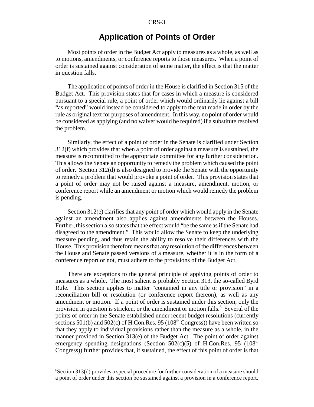## **Application of Points of Order**

Most points of order in the Budget Act apply to measures as a whole, as well as to motions, amendments, or conference reports to those measures. When a point of order is sustained against consideration of some matter, the effect is that the matter in question falls.

The application of points of order in the House is clarified in Section 315 of the Budget Act. This provision states that for cases in which a measure is considered pursuant to a special rule, a point of order which would ordinarily lie against a bill "as reported" would instead be considered to apply to the text made in order by the rule as original text for purposes of amendment. In this way, no point of order would be considered as applying (and no waiver would be required) if a substitute resolved the problem.

Similarly, the effect of a point of order in the Senate is clarified under Section 312(f) which provides that when a point of order against a measure is sustained, the measure is recommitted to the appropriate committee for any further consideration. This allows the Senate an opportunity to remedy the problem which caused the point of order. Section 312(d) is also designed to provide the Senate with the opportunity to remedy a problem that would provoke a point of order. This provision states that a point of order may not be raised against a measure, amendment, motion, or conference report while an amendment or motion which would remedy the problem is pending.

Section 312(e) clarifies that any point of order which would apply in the Senate against an amendment also applies against amendments between the Houses. Further, this section also states that the effect would "be the same as if the Senate had disagreed to the amendment." This would allow the Senate to keep the underlying measure pending, and thus retain the ability to resolve their differences with the House. This provision therefore means that any resolution of the differences between the House and Senate passed versions of a measure, whether it is in the form of a conference report or not, must adhere to the provisions of the Budget Act.

There are exceptions to the general principle of applying points of order to measures as a whole. The most salient is probably Section 313, the so-called Byrd Rule. This section applies to matter "contained in any title or provision" in a reconciliation bill or resolution (or conference report thereon), as well as any amendment or motion. If a point of order is sustained under this section, only the provision in question is stricken, or the amendment or motion falls.<sup>6</sup> Several of the points of order in the Senate established under recent budget resolutions (currently sections  $501(b)$  and  $502(c)$  of H.Con.Res. 95 (108<sup>th</sup> Congress)) have been written so that they apply to individual provisions rather than the measure as a whole, in the manner provided in Section 313(e) of the Budget Act. The point of order against emergency spending designations (Section  $502(c)(5)$  of H.Con.Res. 95 (108<sup>th</sup>) Congress)) further provides that, if sustained, the effect of this point of order is that

<sup>6</sup> Section 313(d) provides a special procedure for further consideration of a measure should a point of order under this section be sustained against a provision in a conference report.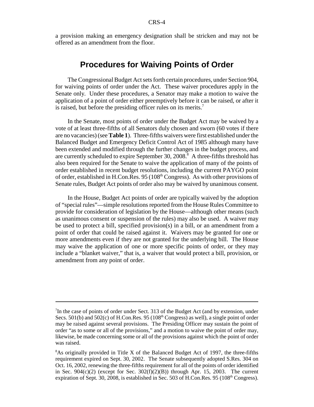a provision making an emergency designation shall be stricken and may not be offered as an amendment from the floor.

## **Procedures for Waiving Points of Order**

The Congressional Budget Act sets forth certain procedures, under Section 904, for waiving points of order under the Act. These waiver procedures apply in the Senate only. Under these procedures, a Senator may make a motion to waive the application of a point of order either preemptively before it can be raised, or after it is raised, but before the presiding officer rules on its merits.<sup>7</sup>

In the Senate, most points of order under the Budget Act may be waived by a vote of at least three-fifths of all Senators duly chosen and sworn (60 votes if there are no vacancies) (see **Table 1**). Three-fifths waivers were first established under the Balanced Budget and Emergency Deficit Control Act of 1985 although many have been extended and modified through the further changes in the budget process, and are currently scheduled to expire September 30, 2008.<sup>8</sup> A three-fifths threshold has also been required for the Senate to waive the application of many of the points of order established in recent budget resolutions, including the current PAYGO point of order, established in H.Con.Res. 95 (108th Congress). As with other provisions of Senate rules, Budget Act points of order also may be waived by unanimous consent.

In the House, Budget Act points of order are typically waived by the adoption of "special rules"—simple resolutions reported from the House Rules Committee to provide for consideration of legislation by the House—although other means (such as unanimous consent or suspension of the rules) may also be used. A waiver may be used to protect a bill, specified provision(s) in a bill, or an amendment from a point of order that could be raised against it. Waivers may be granted for one or more amendments even if they are not granted for the underlying bill. The House may waive the application of one or more specific points of order, or they may include a "blanket waiver," that is, a waiver that would protect a bill, provision, or amendment from any point of order.

<sup>&</sup>lt;sup>7</sup>In the case of points of order under Sect. 313 of the Budget Act (and by extension, under Secs. 501(b) and 502(c) of H.Con.Res. 95 ( $108<sup>th</sup>$  Congress) as well), a single point of order may be raised against several provisions. The Presiding Officer may sustain the point of order "as to some or all of the provisions," and a motion to waive the point of order may, likewise, be made concerning some or all of the provisions against which the point of order was raised.

<sup>&</sup>lt;sup>8</sup>As originally provided in Title X of the Balanced Budget Act of 1997, the three-fifths requirement expired on Sept. 30, 2002. The Senate subsequently adopted S.Res. 304 on Oct. 16, 2002, renewing the three-fifths requirement for all of the points of order identified in Sec.  $904(c)(2)$  (except for Sec.  $302(f)(2)(B)$ ) through Apr. 15, 2003. The current expiration of Sept. 30, 2008, is established in Sec. 503 of H.Con.Res. 95 ( $108<sup>th</sup>$  Congress).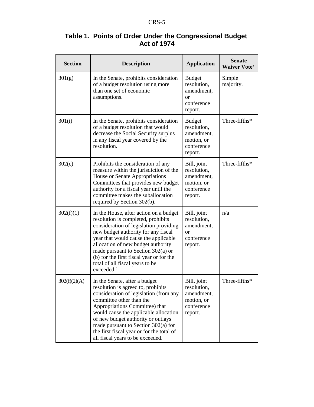| Table 1. Points of Order Under the Congressional Budget |  |
|---------------------------------------------------------|--|
| <b>Act of 1974</b>                                      |  |

| <b>Section</b> | <b>Description</b>                                                                                                                                                                                                                                                                                                                                                                           | <b>Application</b>                                                                   | <b>Senate</b><br><b>Waiver Vote</b> <sup>a</sup> |
|----------------|----------------------------------------------------------------------------------------------------------------------------------------------------------------------------------------------------------------------------------------------------------------------------------------------------------------------------------------------------------------------------------------------|--------------------------------------------------------------------------------------|--------------------------------------------------|
| 301(g)         | In the Senate, prohibits consideration<br>of a budget resolution using more<br>than one set of economic<br>assumptions.                                                                                                                                                                                                                                                                      | <b>Budget</b><br>resolution,<br>amendment,<br><sub>or</sub><br>conference<br>report. | Simple<br>majority.                              |
| 301(i)         | In the Senate, prohibits consideration<br>of a budget resolution that would<br>decrease the Social Security surplus<br>in any fiscal year covered by the<br>resolution.                                                                                                                                                                                                                      | <b>Budget</b><br>resolution,<br>amendment,<br>motion, or<br>conference<br>report.    | Three-fifths*                                    |
| 302(c)         | Prohibits the consideration of any<br>measure within the jurisdiction of the<br>House or Senate Appropriations<br>Committees that provides new budget<br>authority for a fiscal year until the<br>committee makes the suballocation<br>required by Section 302(b).                                                                                                                           | Bill, joint<br>resolution,<br>amendment,<br>motion, or<br>conference<br>report.      | Three-fifths*                                    |
| 302(f)(1)      | In the House, after action on a budget<br>resolution is completed, prohibits<br>consideration of legislation providing<br>new budget authority for any fiscal<br>year that would cause the applicable<br>allocation of new budget authority<br>made pursuant to Section $302(a)$ or<br>(b) for the first fiscal year or for the<br>total of all fiscal years to be<br>exceeded. <sup>b</sup> | Bill, joint<br>resolution,<br>amendment,<br><sub>or</sub><br>conference<br>report.   | n/a                                              |
| 302(f)(2)(A)   | In the Senate, after a budget<br>resolution is agreed to, prohibits<br>consideration of legislation (from any<br>committee other than the<br>Appropriations Committee) that<br>would cause the applicable allocation<br>of new budget authority or outlays<br>made pursuant to Section $302(a)$ for<br>the first fiscal year or for the total of<br>all fiscal years to be exceeded.         | Bill, joint<br>resolution,<br>amendment,<br>motion, or<br>conference<br>report.      | Three-fifths*                                    |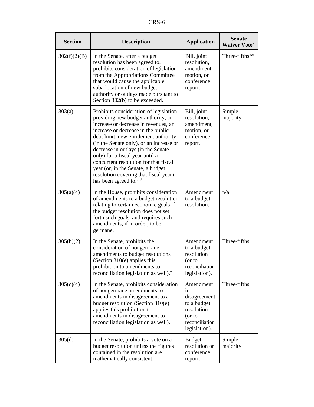| <b>Section</b> | <b>Description</b>                                                                                                                                                                                                                                                                                                                                                                                                                                                                    | <b>Application</b>                                                                                        | <b>Senate</b><br><b>Waiver Vote</b> <sup>a</sup> |
|----------------|---------------------------------------------------------------------------------------------------------------------------------------------------------------------------------------------------------------------------------------------------------------------------------------------------------------------------------------------------------------------------------------------------------------------------------------------------------------------------------------|-----------------------------------------------------------------------------------------------------------|--------------------------------------------------|
| 302(f)(2)(B)   | In the Senate, after a budget<br>resolution has been agreed to,<br>prohibits consideration of legislation<br>from the Appropriations Committee<br>that would cause the applicable<br>suballocation of new budget<br>authority or outlays made pursuant to<br>Section 302(b) to be exceeded.                                                                                                                                                                                           | Bill, joint<br>resolution,<br>amendment,<br>motion, or<br>conference<br>report.                           | Three-fifths*c                                   |
| 303(a)         | Prohibits consideration of legislation<br>providing new budget authority, an<br>increase or decrease in revenues, an<br>increase or decrease in the public<br>debt limit, new entitlement authority<br>(in the Senate only), or an increase or<br>decrease in outlays (in the Senate<br>only) for a fiscal year until a<br>concurrent resolution for that fiscal<br>year (or, in the Senate, a budget<br>resolution covering that fiscal year)<br>has been agreed to. <sup>b, d</sup> | Bill, joint<br>resolution,<br>amendment,<br>motion, or<br>conference<br>report.                           | Simple<br>majority                               |
| 305(a)(4)      | In the House, prohibits consideration<br>of amendments to a budget resolution<br>relating to certain economic goals if<br>the budget resolution does not set<br>forth such goals, and requires such<br>amendments, if in order, to be<br>germane.                                                                                                                                                                                                                                     | Amendment<br>to a budget<br>resolution.                                                                   | n/a                                              |
| 305(b)(2)      | In the Senate, prohibits the<br>consideration of nongermane<br>amendments to budget resolutions<br>(Section 310(e) applies this<br>prohibition to amendments to<br>reconciliation legislation as well). <sup>e</sup>                                                                                                                                                                                                                                                                  | Amendment<br>to a budget<br>resolution<br>(or to<br>reconciliation<br>legislation).                       | Three-fifths                                     |
| 305(c)(4)      | In the Senate, prohibits consideration<br>of nongermane amendments to<br>amendments in disagreement to a<br>budget resolution (Section $310(e)$<br>applies this prohibition to<br>amendments in disagreement to<br>reconciliation legislation as well).                                                                                                                                                                                                                               | Amendment<br>1n<br>disagreement<br>to a budget<br>resolution<br>(or to<br>reconciliation<br>legislation). | Three-fifths                                     |
| 305(d)         | In the Senate, prohibits a vote on a<br>budget resolution unless the figures<br>contained in the resolution are<br>mathematically consistent.                                                                                                                                                                                                                                                                                                                                         | <b>Budget</b><br>resolution or<br>conference<br>report.                                                   | Simple<br>majority                               |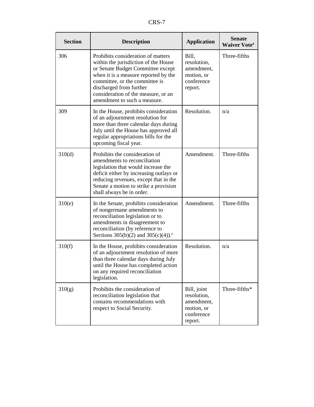| <b>Section</b> | <b>Description</b>                                                                                                                                                                                                                                                                          | <b>Application</b>                                                              | <b>Senate</b><br><b>Waiver Vote</b> <sup>a</sup> |
|----------------|---------------------------------------------------------------------------------------------------------------------------------------------------------------------------------------------------------------------------------------------------------------------------------------------|---------------------------------------------------------------------------------|--------------------------------------------------|
| 306            | Prohibits consideration of matters<br>within the jurisdiction of the House<br>or Senate Budget Committee except<br>when it is a measure reported by the<br>committee, or the committee is<br>discharged from further<br>consideration of the measure, or an<br>amendment to such a measure. | Bill,<br>resolution,<br>amendment,<br>motion, or<br>conference<br>report.       | Three-fifths                                     |
| 309            | In the House, prohibits consideration<br>of an adjournment resolution for<br>more than three calendar days during<br>July until the House has approved all<br>regular appropriations bills for the<br>upcoming fiscal year.                                                                 | Resolution.                                                                     | n/a                                              |
| 310(d)         | Prohibits the consideration of<br>amendments to reconciliation<br>legislation that would increase the<br>deficit either by increasing outlays or<br>reducing revenues, except that in the<br>Senate a motion to strike a provision<br>shall always be in order.                             | Amendment.                                                                      | Three-fifths                                     |
| 310(e)         | In the Senate, prohibits consideration<br>of nongermane amendments to<br>reconciliation legislation or to<br>amendments in disagreement to<br>reconciliation (by reference to<br>Sections 305(b)(2) and 305(c)(4)). <sup>e</sup>                                                            | Amendment.                                                                      | Three-fifths                                     |
| 310(f)         | In the House, prohibits consideration<br>of an adjournment resolution of more<br>than three calendar days during July<br>until the House has completed action<br>on any required reconciliation<br>legislation.                                                                             | Resolution.                                                                     | n/a                                              |
| 310(g)         | Prohibits the consideration of<br>reconciliation legislation that<br>contains recommendations with<br>respect to Social Security.                                                                                                                                                           | Bill, joint<br>resolution,<br>amendment,<br>motion, or<br>conference<br>report. | Three-fifths*                                    |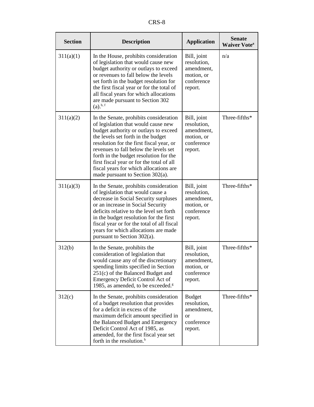| <b>Section</b> | <b>Description</b>                                                                                                                                                                                                                                                                                                                                                                                                        | <b>Application</b>                                                                   | <b>Senate</b><br><b>Waiver Vote</b> <sup>a</sup> |
|----------------|---------------------------------------------------------------------------------------------------------------------------------------------------------------------------------------------------------------------------------------------------------------------------------------------------------------------------------------------------------------------------------------------------------------------------|--------------------------------------------------------------------------------------|--------------------------------------------------|
| 311(a)(1)      | In the House, prohibits consideration<br>of legislation that would cause new<br>budget authority or outlays to exceed<br>or revenues to fall below the levels<br>set forth in the budget resolution for<br>the first fiscal year or for the total of<br>all fiscal years for which allocations<br>are made pursuant to Section 302<br>$(a)$ . <sup>b, f</sup>                                                             | Bill, joint<br>resolution,<br>amendment,<br>motion, or<br>conference<br>report.      | n/a                                              |
| 311(a)(2)      | In the Senate, prohibits consideration<br>of legislation that would cause new<br>budget authority or outlays to exceed<br>the levels set forth in the budget<br>resolution for the first fiscal year, or<br>revenues to fall below the levels set<br>forth in the budget resolution for the<br>first fiscal year or for the total of all<br>fiscal years for which allocations are<br>made pursuant to Section $302(a)$ . | Bill, joint<br>resolution,<br>amendment,<br>motion, or<br>conference<br>report.      | Three-fifths*                                    |
| 311(a)(3)      | In the Senate, prohibits consideration<br>of legislation that would cause a<br>decrease in Social Security surpluses<br>or an increase in Social Security<br>deficits relative to the level set forth<br>in the budget resolution for the first<br>fiscal year or for the total of all fiscal<br>years for which allocations are made<br>pursuant to Section 302(a).                                                      | Bill, joint<br>resolution,<br>amendment,<br>motion, or<br>conference<br>report.      | Three-fifths*                                    |
| 312(b)         | In the Senate, prohibits the<br>consideration of legislation that<br>would cause any of the discretionary<br>spending limits specified in Section<br>$251(c)$ of the Balanced Budget and<br>Emergency Deficit Control Act of<br>1985, as amended, to be exceeded. <sup><math>g</math></sup>                                                                                                                               | Bill, joint<br>resolution,<br>amendment,<br>motion, or<br>conference<br>report.      | Three-fifths*                                    |
| 312(c)         | In the Senate, prohibits consideration<br>of a budget resolution that provides<br>for a deficit in excess of the<br>maximum deficit amount specified in<br>the Balanced Budget and Emergency<br>Deficit Control Act of 1985, as<br>amended, for the first fiscal year set<br>forth in the resolution. <sup>h</sup>                                                                                                        | <b>Budget</b><br>resolution,<br>amendment,<br><sub>or</sub><br>conference<br>report. | Three-fifths*                                    |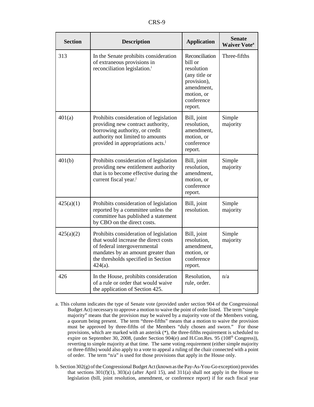| <b>Section</b> | <b>Description</b>                                                                                                                                                                                        | <b>Application</b>                                                                                                           | <b>Senate</b><br><b>Waiver Vote</b> <sup>a</sup> |
|----------------|-----------------------------------------------------------------------------------------------------------------------------------------------------------------------------------------------------------|------------------------------------------------------------------------------------------------------------------------------|--------------------------------------------------|
| 313            | In the Senate prohibits consideration<br>of extraneous provisions in<br>reconciliation legislation. <sup>i</sup>                                                                                          | Reconciliation<br>bill or<br>resolution<br>(any title or<br>provision),<br>amendment,<br>motion, or<br>conference<br>report. | Three-fifths                                     |
| 401(a)         | Prohibits consideration of legislation<br>providing new contract authority,<br>borrowing authority, or credit<br>authority not limited to amounts<br>provided in appropriations acts. <sup>j</sup>        | Bill, joint<br>resolution,<br>amendment,<br>motion, or<br>conference<br>report.                                              | Simple<br>majority                               |
| 401(b)         | Prohibits consideration of legislation<br>providing new entitlement authority<br>that is to become effective during the<br>current fiscal year. <sup>j</sup>                                              | Bill, joint<br>resolution,<br>amendment,<br>motion, or<br>conference<br>report.                                              | Simple<br>majority                               |
| 425(a)(1)      | Prohibits consideration of legislation<br>reported by a committee unless the<br>committee has published a statement<br>by CBO on the direct costs.                                                        | Bill, joint<br>resolution.                                                                                                   | Simple<br>majority                               |
| 425(a)(2)      | Prohibits consideration of legislation<br>that would increase the direct costs<br>of federal intergovernmental<br>mandates by an amount greater than<br>the thresholds specified in Section<br>$424(a)$ . | Bill, joint<br>resolution,<br>amendment,<br>motion, or<br>conference<br>report.                                              | Simple<br>majority                               |
| 426            | In the House, prohibits consideration<br>of a rule or order that would waive<br>the application of Section 425.                                                                                           | Resolution,<br>rule, order.                                                                                                  | n/a                                              |

- a. This column indicates the type of Senate vote (provided under section 904 of the Congressional Budget Act) necessary to approve a motion to waive the point of order listed. The term "simple majority" means that the provision may be waived by a majority vote of the Members voting, a quorum being present. The term "three-fifths" means that a motion to waive the provision must be approved by three-fifths of the Members "duly chosen and sworn." For those provisions, which are marked with an asterisk (\*), the three-fifths requirement is scheduled to expire on September 30, 2008, (under Section 904(e) and H.Con.Res. 95 (108<sup>th</sup> Congress)), reverting to simple majority at that time. The same voting requirement (either simple majority or three-fifths) would also apply to a vote to appeal a ruling of the chair connected with a point of order. The term "n/a" is used for those provisions that apply in the House only.
- b. Section 302(g) of the Congressional Budget Act (known as the Pay-As-You-Go exception) provides that sections  $301(f)(1)$ ,  $303(a)$  (after April 15), and  $311(a)$  shall not apply in the House to legislation (bill, joint resolution, amendment, or conference report) if for each fiscal year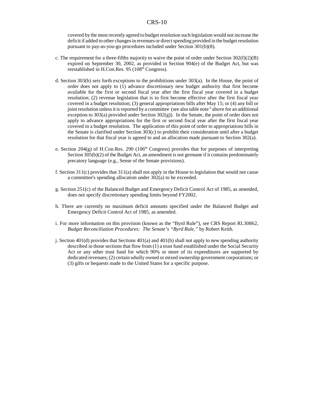covered by the most recently agreed to budget resolution such legislation would not increase the deficit if added to other changes in revenues or direct spending provided in the budget resolution pursuant to pay-as-you-go procedures included under Section 301(b)(8).

- c. The requirement for a three-fifths majority to waive the point of order under Section  $302(f)(2)(B)$ expired on September 30, 2002, as provided in Section 904(e) of the Budget Act, but was reestablished in H.Con.Res. 95 (108<sup>th</sup> Congress).
- d. Section 303(b) sets forth exceptions to the prohibitions under 303(a). In the House, the point of order does not apply to (1) advance discretionary new budget authority that first become available for the first or second fiscal year after the first fiscal year covered in a budget resolution; (2) revenue legislation that is to first become effective after the first fiscal year covered in a budget resolution; (3) general appropriations bills after May 15; or (4) any bill or joint resolution unless it is reported by a committee (see also table note <sup>b</sup> above for an additional exception to  $303(a)$  provided under Section  $302(g)$ ). In the Senate, the point of order does not apply to advance appropriations for the first or second fiscal year after the first fiscal year covered in a budget resolution. The application of this point of order to appropriations bills in the Senate is clarified under Section 303(c) to prohibit their consideration until after a budget resolution for that fiscal year is agreed to and an allocation made pursuant to Section 302(a).
- e. Section 204(g) of H.Con.Res. 290 (106<sup>th</sup> Congress) provides that for purposes of interpreting Section 305(b)(2) of the Budget Act, an amendment is not germane if it contains predominately precatory language (e.g., Sense of the Senate provisions).
- f. Section 311(c) provides that 311(a) shall not apply in the House to legislation that would not cause a committee's spending allocation under 302(a) to be exceeded.
- g. Section 251(c) of the Balanced Budget and Emergency Deficit Control Act of 1985, as amended, does not specify discretionary spending limits beyond FY2002.
- h. There are currently no maximum deficit amounts specified under the Balanced Budget and Emergency Deficit Control Act of 1985, as amended.
- i. For more information on this provision (known as the "Byrd Rule"), see CRS Report RL30862, *Budget Reconciliation Procedures: The Senate's "Byrd Rule,"* by Robert Keith.
- j. Section 401(d) provides that Sections 401(a) and 401(b) shall not apply to new spending authority described in those sections that flow from (1) a trust fund established under the Social Security Act or any other trust fund for which 90% or more of its expenditures are supported by dedicated revenues; (2) certain wholly owned or mixed ownership government corporations; or (3) gifts or bequests made to the United States for a specific purpose.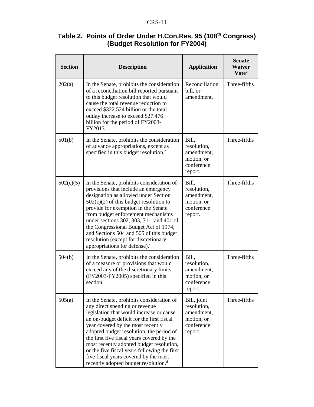| Table 2. Points of Order Under H.Con.Res. 95 (108th Congress) |  |
|---------------------------------------------------------------|--|
| (Budget Resolution for FY2004)                                |  |

| <b>Section</b> | <b>Description</b>                                                                                                                                                                                                                                                                                                                                                                                                                                                                           | <b>Application</b>                                                              | <b>Senate</b><br><b>Waiver</b><br>Vote <sup>a</sup> |
|----------------|----------------------------------------------------------------------------------------------------------------------------------------------------------------------------------------------------------------------------------------------------------------------------------------------------------------------------------------------------------------------------------------------------------------------------------------------------------------------------------------------|---------------------------------------------------------------------------------|-----------------------------------------------------|
| 202(a)         | In the Senate, prohibits the consideration<br>of a reconciliation bill reported pursuant<br>to this budget resolution that would<br>cause the total revenue reduction to<br>exceed \$322.524 billion or the total<br>outlay increase to exceed \$27.476<br>billion for the period of FY2003-<br>FY2013.                                                                                                                                                                                      | Reconciliation<br>bill, or<br>amendment.                                        | Three-fifths                                        |
| 501(b)         | In the Senate, prohibits the consideration<br>of advance appropriations, except as<br>specified in this budget resolution. <sup>b</sup>                                                                                                                                                                                                                                                                                                                                                      | Bill,<br>resolution,<br>amendment,<br>motion, or<br>conference<br>report.       | Three-fifths                                        |
| 502(c)(5)      | In the Senate, prohibits consideration of<br>provisions that include an emergency<br>designation as allowed under Section<br>$502(c)(2)$ of this budget resolution to<br>provide for exemption in the Senate<br>from budget enforcement mechanisms<br>under sections 302, 303, 311, and 401 of<br>the Congressional Budget Act of 1974,<br>and Sections 504 and 505 of this budget<br>resolution (except for discretionary<br>appropriations for defense). <sup>c</sup>                      | Bill,<br>resolution,<br>amendment,<br>motion, or<br>conference<br>report.       | Three-fifths                                        |
| 504(b)         | In the Senate, prohibits the consideration<br>of a measure or provisions that would<br>exceed any of the discretionary limits<br>(FY2003-FY2005) specified in this<br>section.                                                                                                                                                                                                                                                                                                               | Bill,<br>resolution,<br>amendment,<br>motion, or<br>conference<br>report.       | Three-fifths                                        |
| 505(a)         | In the Senate, prohibits consideration of<br>any direct spending or revenue<br>legislation that would increase or cause<br>an on-budget deficit for the first fiscal<br>year covered by the most recently<br>adopted budget resolution, the period of<br>the first five fiscal years covered by the<br>most recently adopted budget resolution,<br>or the five fiscal years following the first<br>five fiscal years covered by the most<br>recently adopted budget resolution. <sup>d</sup> | Bill, joint<br>resolution,<br>amendment,<br>motion, or<br>conference<br>report. | Three-fifths                                        |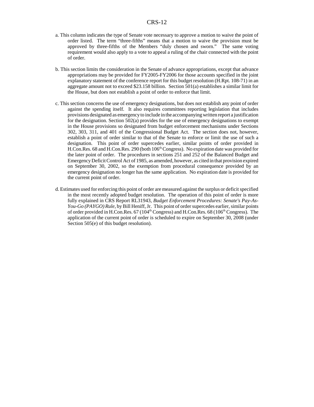- a. This column indicates the type of Senate vote necessary to approve a motion to waive the point of order listed. The term "three-fifths" means that a motion to waive the provision must be approved by three-fifths of the Members "duly chosen and sworn." The same voting requirement would also apply to a vote to appeal a ruling of the chair connected with the point of order.
- b. This section limits the consideration in the Senate of advance appropriations, except that advance appropriations may be provided for FY2005-FY2006 for those accounts specified in the joint explanatory statement of the conference report for this budget resolution (H.Rpt. 108-71) in an aggregate amount not to exceed \$23.158 billion. Section 501(a) establishes a similar limit for the House, but does not establish a point of order to enforce that limit.
- c. This section concerns the use of emergency designations, but does not establish any point of order against the spending itself. It also requires committees reporting legislation that includes provisions designated as emergency to include in the accompanying written report a justification for the designation. Section  $502(a)$  provides for the use of emergency designations to exempt in the House provisions so designated from budget enforcement mechanisms under Sections 302, 303, 311, and 401 of the Congressional Budget Act. The section does not, however, establish a point of order similar to that of the Senate to enforce or limit the use of such a designation. This point of order supercedes earlier, similar points of order provided in H.Con.Res. 68 and H.Con.Res. 290 (both  $106<sup>th</sup> Congress$ ). No expiration date was provided for the later point of order. The procedures in sections 251 and 252 of the Balanced Budget and Emergency Deficit Control Act of 1985, as amended, however, as cited in that provision expired on September 30, 2002, so the exemption from procedural consequence provided by an emergency designation no longer has the same application. No expiration date is provided for the current point of order.
- d. Estimates used for enforcing this point of order are measured against the surplus or deficit specified in the most recently adopted budget resolution. The operation of this point of order is more fully explained in CRS Report RL31943, *Budget Enforcement Procedures: Senate's Pay-As-You-Go (PAYGO) Rule*, by Bill Heniff, Jr. This point of order supercedes earlier, similar points of order provided in H.Con.Res. 67 (104<sup>th</sup> Congress) and H.Con.Res. 68 (106<sup>th</sup> Congress). The application of the current point of order is scheduled to expire on September 30, 2008 (under Section 505(e) of this budget resolution).